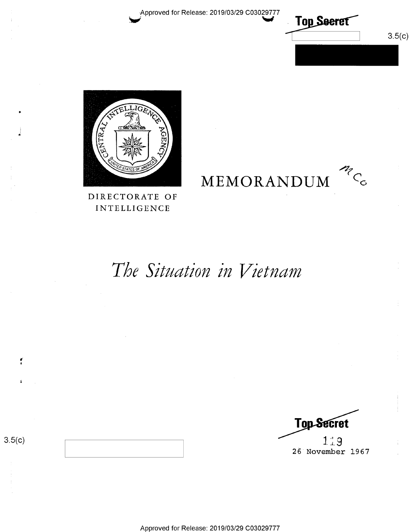Approved for Release: 2019/03/29 C03029777



MCC

 $3.5(c)$ 



DIRECTORATE OF **INTELLIGENCE** 

# The Situation in Vietnam

MEMORANDUM

**Top-Secret**  $1.19$ 26 November 1967

 $3.5(c)$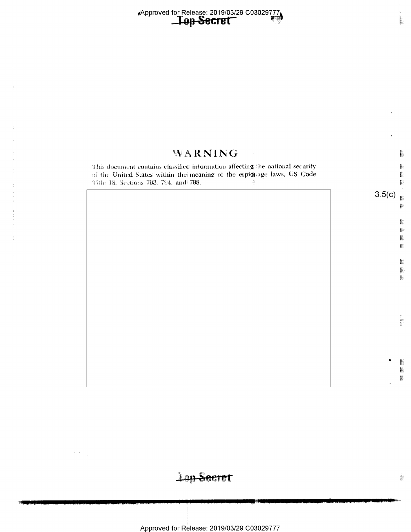$\frac{1}{3}$ 

 $\Delta \sim 1$ 

| WARNING                                                                                                                                                                                                                                                                                                                 |        | <b>HEAR</b>        |
|-------------------------------------------------------------------------------------------------------------------------------------------------------------------------------------------------------------------------------------------------------------------------------------------------------------------------|--------|--------------------|
| This document contains classified information affecting the national security<br>of the United States within the meaning of the espionage laws, US Code<br>l'itle 18. Sections 793, 794, and 798.<br>$\frac{\left\langle E_{\rm T} \right\rangle}{\left\langle \alpha \right\rangle \left\langle \alpha \right\rangle}$ |        | h<br>B             |
|                                                                                                                                                                                                                                                                                                                         | 3.5(c) | 鬬                  |
|                                                                                                                                                                                                                                                                                                                         |        | ļ.<br>联<br>E.<br>隱 |
|                                                                                                                                                                                                                                                                                                                         |        | I.<br>N<br>ţ.      |
|                                                                                                                                                                                                                                                                                                                         |        | すい 動物学             |
|                                                                                                                                                                                                                                                                                                                         |        |                    |

Lap Secret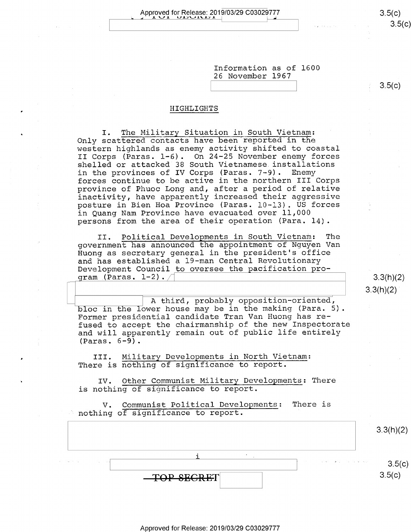Approved for Release: 2019/03/29 C03029777 3\_5(C) ; 1- .L \J 1. \J.l\_'l\JJ.\.l\_'1 J. \

 $\sim$  5.5(¢)  $\sim$  5.5( $\sigma$ )

 $3.5(c)$ 

Information as of 1600 26 November 1967

#### HIGHLIGHTS

I. The Military Situation in South Vietnam: Only scattered contacts have been reported in the western highlands as enemy activity shifted to coastal II Corps (Paras. l-6). On 24-25 November enemy forces shelled or attacked 38 South Vietnamese installations<br>in the provinces of IV Corps (Paras. 7-9). Enemy in the provinces of IV Corps (Paras.  $7-9$ ). forces continue to be active in the northern III Corps province of Phuoc Long and, after a period of relative inactivity, have apparently increased their aggressive posture in Bien Hoa Province (Paras. 10-13). US forces in Quang Nam Province have evacuated over 11,000 persons from the area of their operation (Para. 14).

II. Political Developments in South Vietnam: The government has announced the appointment of Nguyen Van Huong as secretary general in the president's office and has established a l9—man Central Revolutionary Development Council to oversee the pacification program (Paras.  $1-2)$ ./

 $3.3(h)(2)$  $3.3(h)(2)$ 

A third, probably opposition-oriented, bloc in the lower house may be in the making (Para. 5). Former presidential candidate Tran Van Huong has refused to accept the chairmanship of the new Inspectorate and will apparently remain out of public life entirely (Paras. 6-9).

III. Military Developments in North Vietnam: There is nothing of significance to report.

IV. Other Communist Military Developments: There is nothing of significance to report.

V. Communist Political Developments: There is  $\degree$  nothing of significance to report.

|                                                       |            |                                                  | 3.3(h)(2)            |
|-------------------------------------------------------|------------|--------------------------------------------------|----------------------|
| the company of the age<br><b>Contractor</b><br>$\sim$ | $\cdot$    | the common state of the same state of the second | $3.5(c)$<br>$3.5(c)$ |
|                                                       | TOP SEGRET |                                                  |                      |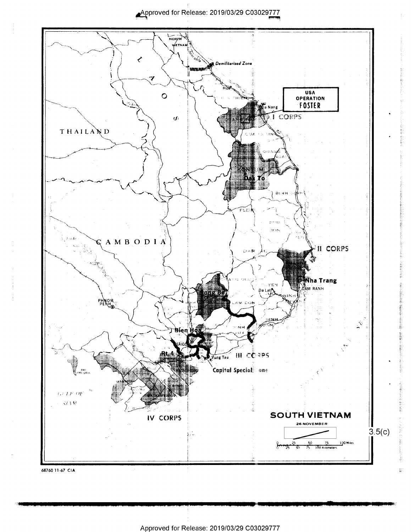Approved for Release: 2019/03/29 C03029777

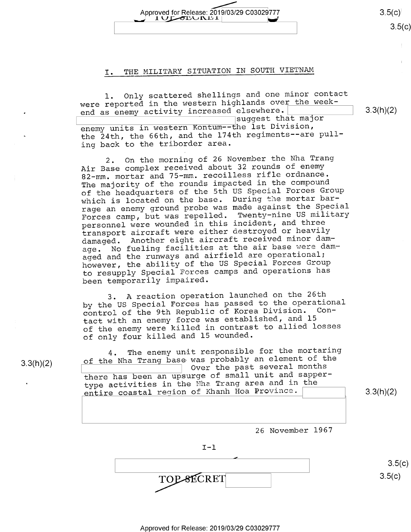$3.5(c)$  $3.5(c)$ 

3.3(h)(2)

### I. THE MILITARY SITUATION IN SOUTH VIETNAM

Approved for Release: 2019/03/29 C03029777

 $1$ ULALUNDI

bu?

l. Only scattered shellings and one minor contact were reported in the western highlands over the weekend as enemy activity increased elsewhere. enemy units in western Kontum--the lst Division, the 24th, the 66th, and the 174th regiments--are pulling back to the triborder area. suggest that major

2. On the morning of 26 November the Nha Trang Air Base complex received about 32 rounds of enemy 82—mm. mortar and 75—mm. recoilless rifle ordnance. The majority of the rounds impacted in the compound of the headquarters of the 5th US Special Forces Group which is located on the base. During the mortar barrage an enemy ground probe was made against the Special<br>Example: The Special Contracts of the military Forces camp, but was repelled. Twenty-nine US military personnel were wounded in this incident, and three transport aircraft were either destroyed or heavily<br>https://www.iki.cinama.ir.a.mor.damdamaged. Another eight aircraft received minor damage. No fueling facilities at the air base were damaged and the runways and airfield are operational; however, the ability of the US Special Forces Group to resupply Special Forces camps and operations has been temporarily impaired.

3. A reaction operation launched on the 26th by the US Special Forces has passed to the operational<br>control of the 9th Republic of Korea Division. Concontrol of the 9th Republic of Korea Division. Contact with an enemy force was established, and <sup>15</sup> of the enemy were killed in contrast to allied losses of only four killed and l5 wounded.

4. The The enemy unit responsible for the mortaring 3.3(h)(2)  $\qquad$  of the Nha Trang base was probably an element of the Sasa (1). Over the past several months there has been an upsurge of small unit and sappertype activities in the Mha Trang area and in the entire coastal region of Khanh Hoa Province.  $\qquad \qquad$  3.3(h)(2)

26 November 1967

 $I-1$ 

 $\overline{TOP$ - $BECRET$  3.5(c)

 $3.5(c)$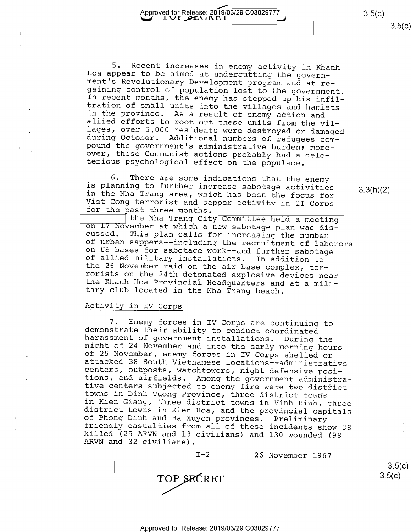၁.၁(၄)

Approved for Release: 2019/03/29 C03029777<br>
1 UI DEUINE 1 (3.5(c)<br>
2.5(c)<br>
Recent increases in enemy activity in Khanh<br>
ear to be aimed at undercutting the govern-<br>
Revolutionary Development program and at re-<br>
control of 5. Recent increases in enemy activity in Khanh<br>Hoa appear to be aimed at undercutting the govern-<br>ment's Revolutionary Development program and at re-<br>gaining control of population lost to the government.<br>In recent months,

<sup>6</sup>. There are some indications that the enemy<br>is planning to further increase sabotage activities<br>in the Nha Trang area, which has been the focus for<br>Viet Cong terrorist and sapper activity in II Corps<br>for the past three

#### Activity in IV Corps

7. Enemy forces in IV Corps are continuing to<br>demonstrate their ability to conduct coordinated<br>harassment of government installations. During the<br>night of 24 November and into the early morning hours<br>of 25 November, enemy

I-2 26 November l967 TOP SECRET

3.3(h)(2)

 $3.5(c)$  $3.5(c)$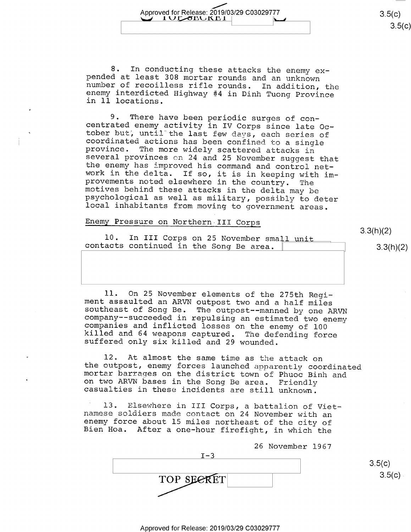$3.5(c)$ ၁.၁(၄)

8. In conducting these attacks the enemy ex- pended at least 308 mortar rounds and an unknown number of recoilless rifle rounds. In addition, the enemy interdicted Highway #4 in Dinh Tuong Province in ll locations.

Approved for Release: 2019/03/29 C03029777

'

9. There have been periodic surges of con-<br>centrated enemy activity in IV Corps since late Oc-<br>tober but, until the last few days, each series of<br>coordinated actions has been confined to a single<br>province. The more widely

#### Enemy Pressure on Northern III Corps

10. In III Corps on 25 November small unit contacts continued in the Song Be area.

3.3(h)(2)

 $3.3(h)(2)$ 

11. On 25 November elements of the 275th Regi-<br>ment assaulted an ARVN outpost two and a half miles<br>southeast of Song Be. The outpost--manned by one ARVN<br>company--succeeded in repulsing an estimated two enemy<br>companies and

12. At almost the same time as the attack on<br>the outpost, enemy forces launched apparently coordinated<br>mortar barrages on the district town of Phuoc Binh and<br>on two ARVN bases in the Song Be area. Friendly<br>casualties in th

l3. Elsewhere in III Corps, a battalion of Viet- namese soldiers made contact on 24 November with an enemy force about l5 miles northeast of the city of Bien Hoa. After a one-hour firefight, in which the



 $3.5(c)$  $3.5(c)$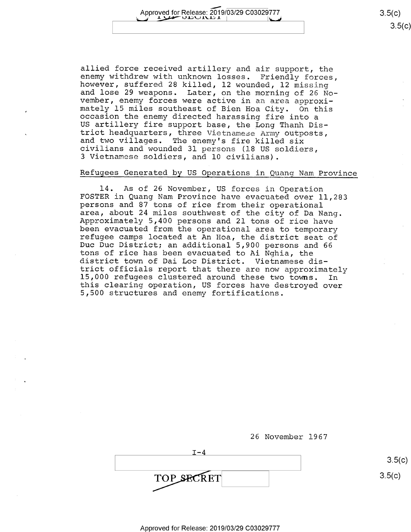allied force received artillery and air support, the enemy withdrew with unknown losses. Friendly forces, however, suffered 28 killed, l2 wounded, l2 missing and lose 29 weapons. Later, on the morning of 26 No-vember, enem mately 15 miles southeast of Bien Hoa City. On this<br>occasion the enemy directed harassing fire into a<br>US artillery fire support base, the Long Thanh Dis-<br>trict headquarters, three Vietnamese Army outposts,<br>and two villages <sup>3</sup>Vietnamese soldiers, and 10 civilians).

#### Refugees Generated by US Operations in Quang Nam Province

l4. As of 26 November, US forces in Operation FOSTER in Quang Nam Province have evacuated over ll,283 persons and 87 tons of rice from their operational Approximately 5,400 persons and 21 tons of rice have<br>been evacuated from the operational area to temporary<br>refugee camps located at An Hoa, the district seat of<br>Duc Duc District; an additional 5,900 persons and 66<br>tons of district town of Dai Loc District. Vietnamese dis-<br>trict officials report that there are now approximately<br>15,000 refugees clustered around these two towns. In<br>this clearing operation, US forces have destroyed over<br>5,500 s

26 November l967

| T – 4      |        |
|------------|--------|
|            | 3.5(   |
| TOP SECRET | 3.5(c) |

 $3.5(c)$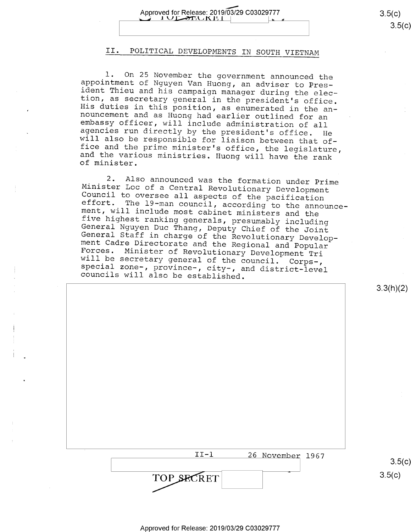## II. POLITICAL DEVELOPMENTS IN SOUTH VIETNAM

1. On 25 November the government announced the<br>appointment of Nguyen Van Huong, an adviser to Pres-<br>ident Thieu and his campaign manager during the elec-<br>tion, as secretary general in the president's office.<br>His duties in

2. Also announced was the formation under Prime<br>Minister Loc of a Central Revolutionary Development<br>Council to oversee all aspects of the pacification<br>effort. The 19-man council, according to the announce-<br>ment, will inclu

3.3(h)(2)

| $TT-1$     | 26 November 1967 |
|------------|------------------|
|            | 3.5(c)           |
| TOP SECRET | --<br>3.5(c)     |
|            |                  |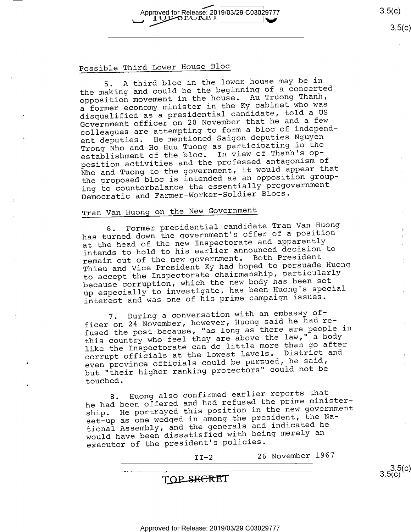Approved for Release: 2019/03/29 C03029777 3.5(c) IUL OLUNLI

### Possible Third Lower House Bloc

5. A third bloc in the lower house may be in the making and could be the beginning of a concerted opposition movement in the house. Au Truong Thanh, a former economy minister in the Ky cabinet who was disqualified as a presidential candidate, told a US Government officer on 20 November that he and a few colleagues are attempting to form a bloc of independent deputies. He mentioned Saigon deputies Nguyen Trong Nho and Ho Huu Tuong as participating in the establishment of the bloc. In view of Thanh's opposition activities and the professed antagonism of Nho and Tuong to the government, it would appear that the proposed bloc is intended as an opposition grouping to counterbalance the essentially progovernment Democratic and Farmer—Worker—Soldier Blocs.

## Tran Van Huong on the New Government

6. Former presidential candidate Tran Van Huong has turned down the government's offer of a position at the head of the new Inspectorate and apparently intends to hold to his earlier announced decision to remain out of the new government. Both President Thieu and Vice President Ky had hoped to persuade Huong to accept the Inspectorate chairmanship, particularly because corruption, which the new body has been set up especially to investigate, has been Huong's special interest and was one of his prime campaign issues.

7. During a conversation with an embassy officer on 24 November, however, Huong said he had refused the post because, "as long as there are people in this country who feel they are above the law," a body like the Inspectorate can do little more than go after corrupt officials at the lowest levels. District and even province officials could be pursued, he said, but "their higher ranking protectors" could not be touched.

8. Huong also confirmed earlier reports that he had been offered and had refused the prime ministership. He portrayed this position in the new government set-up as one wedged in among the president, the National Assembly, and the generals and indicated he would have been dissatisfied with being merely an executor of the president's policies.

| エエニワ       | 26 November 1967 |  |
|------------|------------------|--|
| -          |                  |  |
| TOP SECRET |                  |  |

 $3.5( c)$ <br>3.5(c)

 $3.5(c)$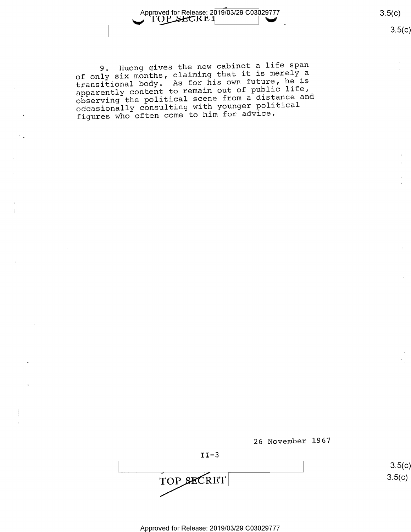

၁.၁(၄)

9. Huong gives the new cabinet a life span of only six months, claiming that it is merely a transitional body. As for his own future, he is apparently content to remain out of public life,<br>apparently content to remain out of public life, observing the political scene from a distance and occasionally consulting with younger political figures who often come to him for advice.





 $3.5(c)$  $3.5(c)$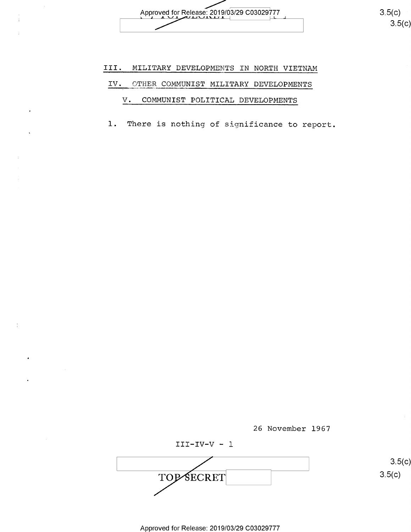Approved for Release: 2019/03/29 C03029777  $\begin{bmatrix} 3 & 3 \end{bmatrix}$  3.5(C) Approved for Release:

3.5(c

# III. MILITARY DEVELOPMENTS IN NORTH VIETNAM IV. OTHER COMMUNIST MILITARY DEVELOPMENTS

## V. COMMUNIST POLITICAL DEVELOPMENTS

 $\mathbf{r}$ 

1. There is nothing of significance to report.

26 November 1967

III—IV—V - l TOP SECRET 3.5(c) TOPSECRET 3.5(c)

 $3.5(c)$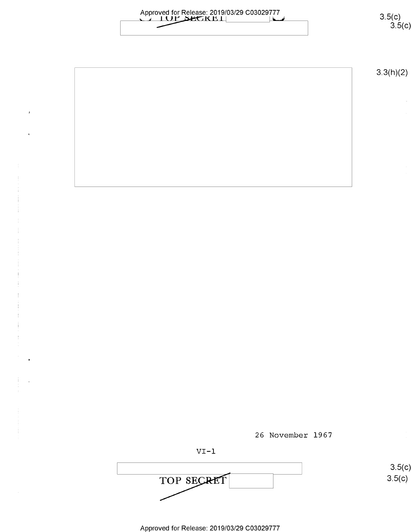| Approved for Release: 2019/03/29 C03029777 |  |
|--------------------------------------------|--|
| <b>COLLUM SECKET</b>                       |  |
|                                            |  |
|                                            |  |

 $3.5(c)$ <br> $3.5(c)$ 

 $3.3(h)(2)$ 

26 November 1967

$$
\verb|VI-l|
$$

 $3.5(c)$  $3.5(c)$